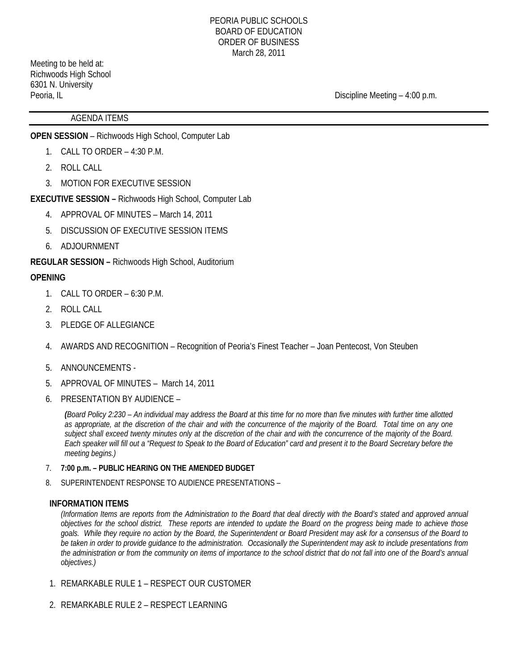Meeting to be held at: Richwoods High School 6301 N. University

Peoria, IL Contract and Contract and Contract and Contract and Contract and Contract and Discipline Meeting – 4:00 p.m.

### AGENDA ITEMS

**OPEN SESSION** – Richwoods High School, Computer Lab

- 1. CALL TO ORDER 4:30 P.M.
- 2. ROLL CALL
- 3. MOTION FOR EXECUTIVE SESSION

### **EXECUTIVE SESSION –** Richwoods High School, Computer Lab

- 4. APPROVAL OF MINUTES March 14, 2011
- 5. DISCUSSION OF EXECUTIVE SESSION ITEMS
- 6. ADJOURNMENT

### **REGULAR SESSION –** Richwoods High School, Auditorium

### **OPENING**

- 1. CALL TO ORDER 6:30 P.M.
- 2. ROLL CALL
- 3. PLEDGE OF ALLEGIANCE
- 4. AWARDS AND RECOGNITION Recognition of Peoria's Finest Teacher Joan Pentecost, Von Steuben
- 5. ANNOUNCEMENTS -
- 5. APPROVAL OF MINUTES March 14, 2011
- 6. PRESENTATION BY AUDIENCE –

*(Board Policy 2:230 – An individual may address the Board at this time for no more than five minutes with further time allotted as appropriate, at the discretion of the chair and with the concurrence of the majority of the Board. Total time on any one subject shall exceed twenty minutes only at the discretion of the chair and with the concurrence of the majority of the Board. Each speaker will fill out a "Request to Speak to the Board of Education" card and present it to the Board Secretary before the meeting begins.)* 

- 7. **7:00 p.m. PUBLIC HEARING ON THE AMENDED BUDGET**
- 8. SUPERINTENDENT RESPONSE TO AUDIENCE PRESENTATIONS –

#### **INFORMATION ITEMS**

*(Information Items are reports from the Administration to the Board that deal directly with the Board's stated and approved annual objectives for the school district. These reports are intended to update the Board on the progress being made to achieve those goals. While they require no action by the Board, the Superintendent or Board President may ask for a consensus of the Board to be taken in order to provide guidance to the administration. Occasionally the Superintendent may ask to include presentations from the administration or from the community on items of importance to the school district that do not fall into one of the Board's annual objectives.)* 

- 1. REMARKABLE RULE 1 RESPECT OUR CUSTOMER
- 2. REMARKABLE RULE 2 RESPECT LEARNING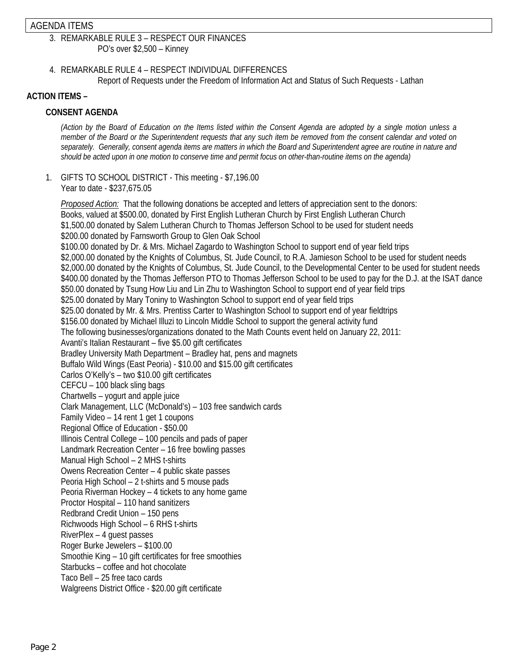#### AGENDA ITEMS

### 3. REMARKABLE RULE 3 – RESPECT OUR FINANCES PO's over \$2,500 – Kinney

4. REMARKABLE RULE 4 – RESPECT INDIVIDUAL DIFFERENCES Report of Requests under the Freedom of Information Act and Status of Such Requests - Lathan

## **ACTION ITEMS –**

# **CONSENT AGENDA**

*(Action by the Board of Education on the Items listed within the Consent Agenda are adopted by a single motion unless a member of the Board or the Superintendent requests that any such item be removed from the consent calendar and voted on separately. Generally, consent agenda items are matters in which the Board and Superintendent agree are routine in nature and should be acted upon in one motion to conserve time and permit focus on other-than-routine items on the agenda)* 

1. GIFTS TO SCHOOL DISTRICT - This meeting - \$7,196.00 Year to date - \$237,675.05

*Proposed Action:* That the following donations be accepted and letters of appreciation sent to the donors: Books, valued at \$500.00, donated by First English Lutheran Church by First English Lutheran Church \$1,500.00 donated by Salem Lutheran Church to Thomas Jefferson School to be used for student needs \$200.00 donated by Farnsworth Group to Glen Oak School \$100.00 donated by Dr. & Mrs. Michael Zagardo to Washington School to support end of year field trips \$2,000.00 donated by the Knights of Columbus, St. Jude Council, to R.A. Jamieson School to be used for student needs \$2,000.00 donated by the Knights of Columbus, St. Jude Council, to the Developmental Center to be used for student needs \$400.00 donated by the Thomas Jefferson PTO to Thomas Jefferson School to be used to pay for the D.J. at the ISAT dance \$50.00 donated by Tsung How Liu and Lin Zhu to Washington School to support end of year field trips \$25.00 donated by Mary Toniny to Washington School to support end of year field trips \$25.00 donated by Mr. & Mrs. Prentiss Carter to Washington School to support end of year fieldtrips \$156.00 donated by Michael Illuzi to Lincoln Middle School to support the general activity fund The following businesses/organizations donated to the Math Counts event held on January 22, 2011: Avanti's Italian Restaurant – five \$5.00 gift certificates Bradley University Math Department – Bradley hat, pens and magnets Buffalo Wild Wings (East Peoria) - \$10.00 and \$15.00 gift certificates Carlos O'Kelly's – two \$10.00 gift certificates CEFCU – 100 black sling bags Chartwells – yogurt and apple juice Clark Management, LLC (McDonald's) – 103 free sandwich cards Family Video – 14 rent 1 get 1 coupons Regional Office of Education - \$50.00 Illinois Central College – 100 pencils and pads of paper Landmark Recreation Center – 16 free bowling passes Manual High School – 2 MHS t-shirts Owens Recreation Center – 4 public skate passes Peoria High School – 2 t-shirts and 5 mouse pads Peoria Riverman Hockey – 4 tickets to any home game Proctor Hospital – 110 hand sanitizers Redbrand Credit Union – 150 pens Richwoods High School – 6 RHS t-shirts RiverPlex – 4 guest passes Roger Burke Jewelers – \$100.00 Smoothie King – 10 gift certificates for free smoothies Starbucks – coffee and hot chocolate Taco Bell – 25 free taco cards Walgreens District Office - \$20.00 gift certificate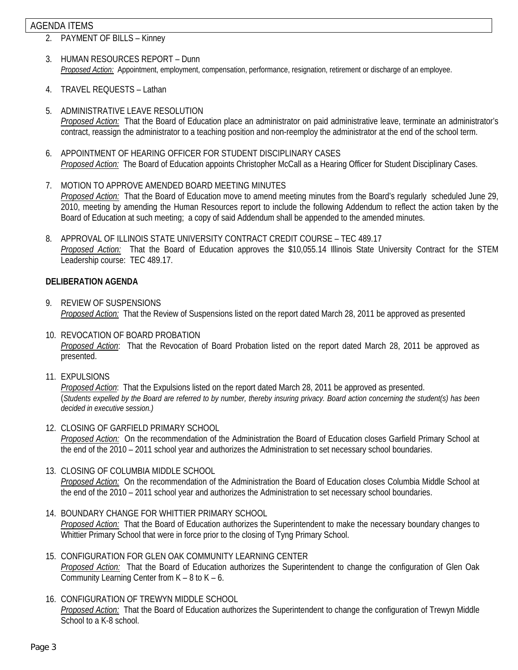#### AGENDA ITEMS

- 2. PAYMENT OF BILLS Kinney
- 3. HUMAN RESOURCES REPORT Dunn *Proposed Action:* Appointment, employment, compensation, performance, resignation, retirement or discharge of an employee.
- 4. TRAVEL REQUESTS Lathan
- 5. ADMINISTRATIVE LEAVE RESOLUTION *Proposed Action:* That the Board of Education place an administrator on paid administrative leave, terminate an administrator's contract, reassign the administrator to a teaching position and non-reemploy the administrator at the end of the school term.
- 6. APPOINTMENT OF HEARING OFFICER FOR STUDENT DISCIPLINARY CASES *Proposed Action:* The Board of Education appoints Christopher McCall as a Hearing Officer for Student Disciplinary Cases.
- 7. MOTION TO APPROVE AMENDED BOARD MEETING MINUTES *Proposed Action:* That the Board of Education move to amend meeting minutes from the Board's regularly scheduled June 29, 2010, meeting by amending the Human Resources report to include the following Addendum to reflect the action taken by the Board of Education at such meeting; a copy of said Addendum shall be appended to the amended minutes.
- 8. APPROVAL OF ILLINOIS STATE UNIVERSITY CONTRACT CREDIT COURSE TEC 489.17 *Proposed Action:* That the Board of Education approves the \$10,055.14 Illinois State University Contract for the STEM Leadership course: TEC 489.17.

#### **DELIBERATION AGENDA**

- 9. REVIEW OF SUSPENSIONS *Proposed Action:* That the Review of Suspensions listed on the report dated March 28, 2011 be approved as presented
- 10. REVOCATION OF BOARD PROBATION *Proposed Action*: That the Revocation of Board Probation listed on the report dated March 28, 2011 be approved as presented.
- 11. EXPULSIONS

*Proposed Action*: That the Expulsions listed on the report dated March 28, 2011 be approved as presented. (*Students expelled by the Board are referred to by number, thereby insuring privacy. Board action concerning the student(s) has been decided in executive session.)* 

- 12. CLOSING OF GARFIELD PRIMARY SCHOOL *Proposed Action:* On the recommendation of the Administration the Board of Education closes Garfield Primary School at the end of the 2010 – 2011 school year and authorizes the Administration to set necessary school boundaries.
- 13. CLOSING OF COLUMBIA MIDDLE SCHOOL *Proposed Action:* On the recommendation of the Administration the Board of Education closes Columbia Middle School at the end of the 2010 – 2011 school year and authorizes the Administration to set necessary school boundaries.
- 14. BOUNDARY CHANGE FOR WHITTIER PRIMARY SCHOOL *Proposed Action:* That the Board of Education authorizes the Superintendent to make the necessary boundary changes to Whittier Primary School that were in force prior to the closing of Tyng Primary School.
- 15. CONFIGURATION FOR GLEN OAK COMMUNITY LEARNING CENTER *Proposed Action:* That the Board of Education authorizes the Superintendent to change the configuration of Glen Oak Community Learning Center from  $K - 8$  to  $K - 6$ .
- 16. CONFIGURATION OF TREWYN MIDDLE SCHOOL *Proposed Action:* That the Board of Education authorizes the Superintendent to change the configuration of Trewyn Middle School to a K-8 school.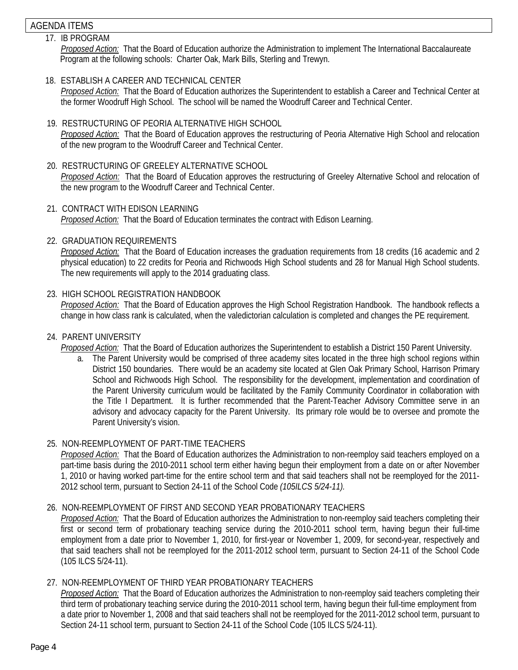# AGENDA ITEMS

- 17. IB PROGRAM *Proposed Action:* That the Board of Education authorize the Administration to implement The International Baccalaureate Program at the following schools: Charter Oak, Mark Bills, Sterling and Trewyn.
- 18. ESTABLISH A CAREER AND TECHNICAL CENTER

*Proposed Action:* That the Board of Education authorizes the Superintendent to establish a Career and Technical Center at the former Woodruff High School. The school will be named the Woodruff Career and Technical Center.

- 19. RESTRUCTURING OF PEORIA ALTERNATIVE HIGH SCHOOL *Proposed Action:* That the Board of Education approves the restructuring of Peoria Alternative High School and relocation of the new program to the Woodruff Career and Technical Center.
- 20. RESTRUCTURING OF GREELEY ALTERNATIVE SCHOOL *Proposed Action:* That the Board of Education approves the restructuring of Greeley Alternative School and relocation of the new program to the Woodruff Career and Technical Center.
- 21. CONTRACT WITH EDISON LEARNING *Proposed Action:* That the Board of Education terminates the contract with Edison Learning.
- 22. GRADUATION REQUIREMENTS

*Proposed Action:* That the Board of Education increases the graduation requirements from 18 credits (16 academic and 2 physical education) to 22 credits for Peoria and Richwoods High School students and 28 for Manual High School students. The new requirements will apply to the 2014 graduating class.

23. HIGH SCHOOL REGISTRATION HANDBOOK

*Proposed Action:* That the Board of Education approves the High School Registration Handbook. The handbook reflects a change in how class rank is calculated, when the valedictorian calculation is completed and changes the PE requirement.

24. PARENT UNIVERSITY

*Proposed Action:* That the Board of Education authorizes the Superintendent to establish a District 150 Parent University.

a. The Parent University would be comprised of three academy sites located in the three high school regions within District 150 boundaries. There would be an academy site located at Glen Oak Primary School, Harrison Primary School and Richwoods High School. The responsibility for the development, implementation and coordination of the Parent University curriculum would be facilitated by the Family Community Coordinator in collaboration with the Title I Department. It is further recommended that the Parent-Teacher Advisory Committee serve in an advisory and advocacy capacity for the Parent University. Its primary role would be to oversee and promote the Parent University's vision.

## 25. NON-REEMPLOYMENT OF PART-TIME TEACHERS

*Proposed Action:* That the Board of Education authorizes the Administration to non-reemploy said teachers employed on a part-time basis during the 2010-2011 school term either having begun their employment from a date on or after November 1, 2010 or having worked part-time for the entire school term and that said teachers shall not be reemployed for the 2011- 2012 school term, pursuant to Section 24-11 of the School Code *(105ILCS 5/24-11).* 

#### 26. NON-REEMPLOYMENT OF FIRST AND SECOND YEAR PROBATIONARY TEACHERS

*Proposed Action:* That the Board of Education authorizes the Administration to non-reemploy said teachers completing their first or second term of probationary teaching service during the 2010-2011 school term, having begun their full-time employment from a date prior to November 1, 2010, for first-year or November 1, 2009, for second-year, respectively and that said teachers shall not be reemployed for the 2011-2012 school term, pursuant to Section 24-11 of the School Code (105 ILCS 5/24-11).

## 27. NON-REEMPLOYMENT OF THIRD YEAR PROBATIONARY TEACHERS

*Proposed Action:* That the Board of Education authorizes the Administration to non-reemploy said teachers completing their third term of probationary teaching service during the 2010-2011 school term, having begun their full-time employment from a date prior to November 1, 2008 and that said teachers shall not be reemployed for the 2011-2012 school term, pursuant to Section 24-11 school term, pursuant to Section 24-11 of the School Code (105 ILCS 5/24-11).